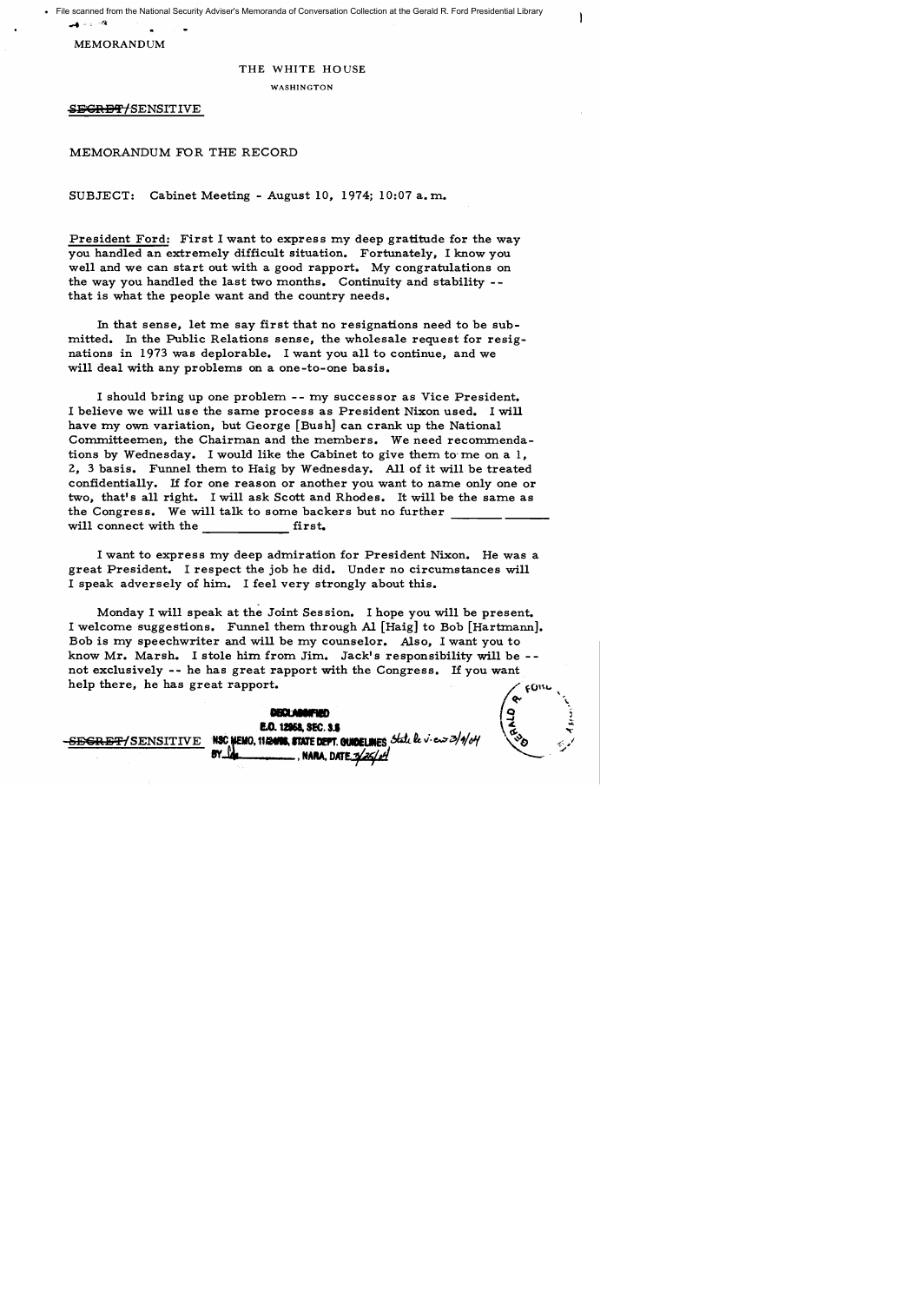File scanned from the National Security Adviser's Memoranda of Conversation Collection at the Gerald R. Ford Presidential Library

...  $\sim$   $\sim$   $\approx$ 

MEMORANDUM

## THE WHITE HOUSE

WASHINGTON

SEGRET/SENSITIVE

MEMORANDUM FOR THE RECORD

SUBJECT: Cabinet Meeting - August 10, 1974; 10:07 a. m.

President Ford: First I want to express my deep gratitude for the way you handled an extremely difficult situation. Fortunately, I know you well and we can start out with a good rapport. My congratulations on the way you handled the last two months. Continuity and stability - that is what the people want and the country needs.

In that sense, let me say first that no resignations need to be submitted. In the Public Relations sense, the wholesale request for resignations in 1973 was deplorable. I want you all to continue, and we will deal with any problems on a one-to-one basis.

I should bring up one problem -- my successor as Vice President. I believe we will use the same process as President Nixon used. I will have my own variation, but George [Bush] can crank up the National Committeemen, the Chairman and the members. We need recommendations by Wednesday. I would like the Cabinet to give them to' me on a 1, 2, 3 basis. Funnel them to Haig by Wednesday. All of it will be treated confidentially. If for one reason or another you want to name only one or two, that's all right. I will ask Scott and Rhodes. It will be the same as the Congress. We will talk to some backers but no further will connect with the first.

I want to express my deep admiration for President Nixon. He was a great President. I respect the job he did. Under no circumstances will I speak adversely of him. I feel very strongly about this.

Monday I will speak at the Joint Session. I hope you will be present. I welcome suggestions. Funnel them through Al [Haig] to Bob [Hartmann]. Bob is my speechwriter and will be my counselor. Also, I want you to know Mr. Marsh. I stole him from Jim. Jack's responsibility will be - not exclusively -- he has great rapport with the Congress. If you want help there, he has great rapport.  $\sqrt{6}$ 

 $\bullet$   $\lambda$ **DECLASSIFIED**  $\begin{pmatrix} 0 & 1 \\ 0 & 0 \end{pmatrix}$ **E.O.** 12968, SEC. 3.8 SE=€iRE'F{ SENSITIVENSCJICJJO. **11-.rrm** om. Gt8l.Ith ~ It. ,,'. e..:ToJ~/ ~ \.~~ , :;.,/ **fluid, 112008, STATE DEPT. QUIDELINES** State be v. ext 29 9/04<br>BY **Representative**, NARA, DATE 3/25/04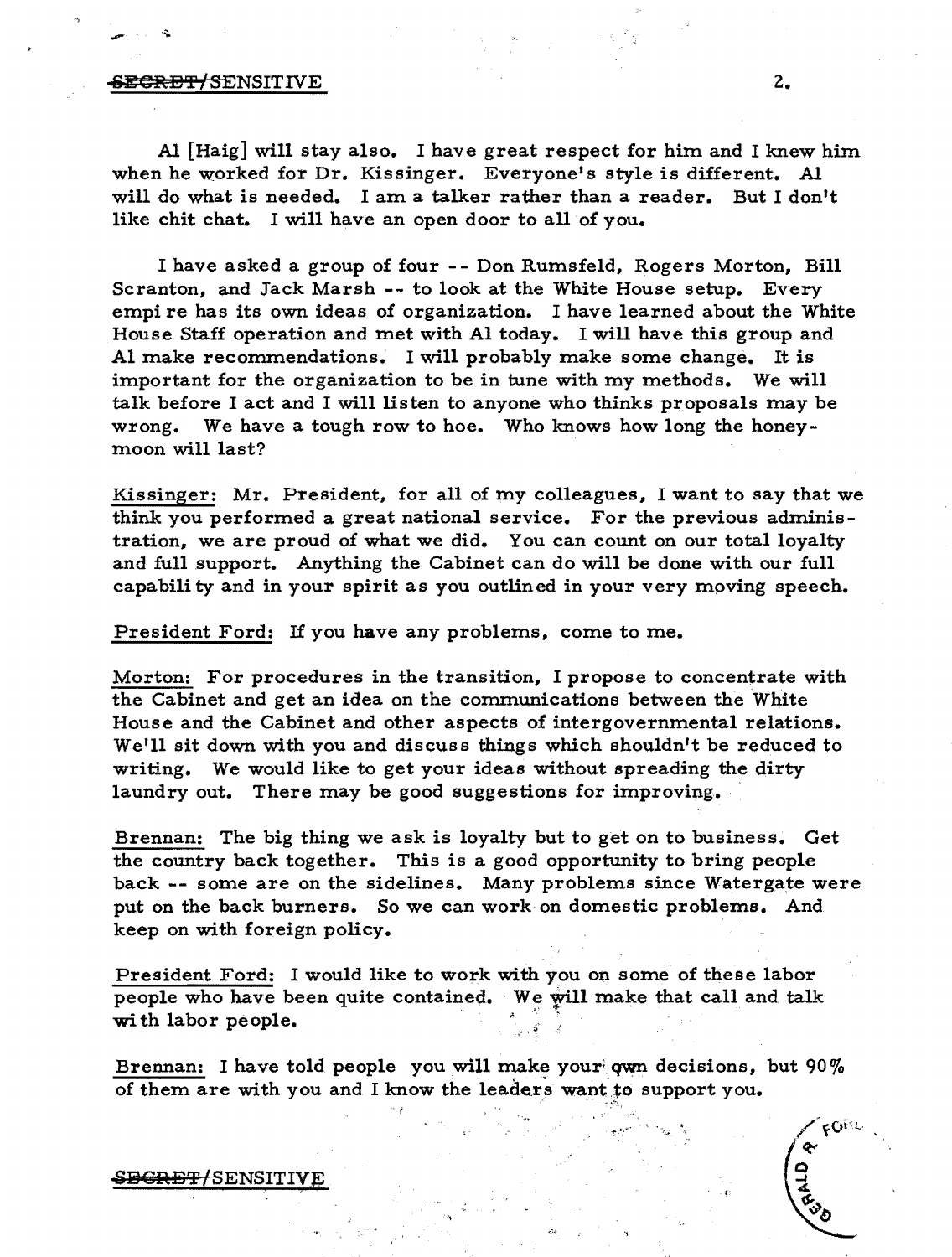## ..a;J:CRB'f'/SENSITIVE 2.

Al [Haig] will stay also. I have great respect for him and I knew him when he worked for Dr. Kissinger. Everyone's style is different. AI will do what is needed. I am a talker rather than a reader. But I don't like chit chat. I will have an open door to all of you.

I have asked a group of four - - Don Rumsfeld, Rogers Morton, Bill Scranton, and Jack Marsh -- to look at the White House setup. Every empi re has its own ideas of organization. I have learned about the White House Staff operation and met with Al today. I will have this group and Al make recommendations. I will probably make some change. It is important for the organization to be in tune with my methods. We will talk before I act and I will listen to anyone who thinks proposals may be wrong. We have a tough row to hoe. Who knows how long the honeymoon will last?

Kissinger: Mr. President, for all of my colleagues, I want to say that we think you performed a great national service. For the previous administration, we are proud of what we did. You can count on our total loyalty and full support. Anything the Cabinet can do will be done with our full capabili ty and in your spirit as you outlined in your very moving speech.

President Ford: If you have any problems, come to me.

Morton: For procedures in the transition, I propose to concentrate with the Cabinet and get an idea on the communications between the White House and the Cabinet and other aspects of intergovernmental relations. We'll sit down with you and discuss things which shouldn't be reduced to writing. We would like to get your ideas without spreading the dirty laundry out. There may be good suggestions for improving.

Brennan: The big thing we ask is loyalty but to get on to business. Get the country back together. This is a good opportunity to bring people back -- some are on the sidelines. Many problems since Watergate were put on the back burners. So we can work on domestic problems. And keep on with foreign policy.

President Ford: I would like to work with you on some of these labor people who have been quite contained. We will make that call and talk with labor people.

Brennan: I have told people you will make your gown decisions, but  $90\%$ of them are with you and I know the leaders want to support you.

<del>BCRET/</del>SENSITIVE j

ʹϝϙ៲ϥ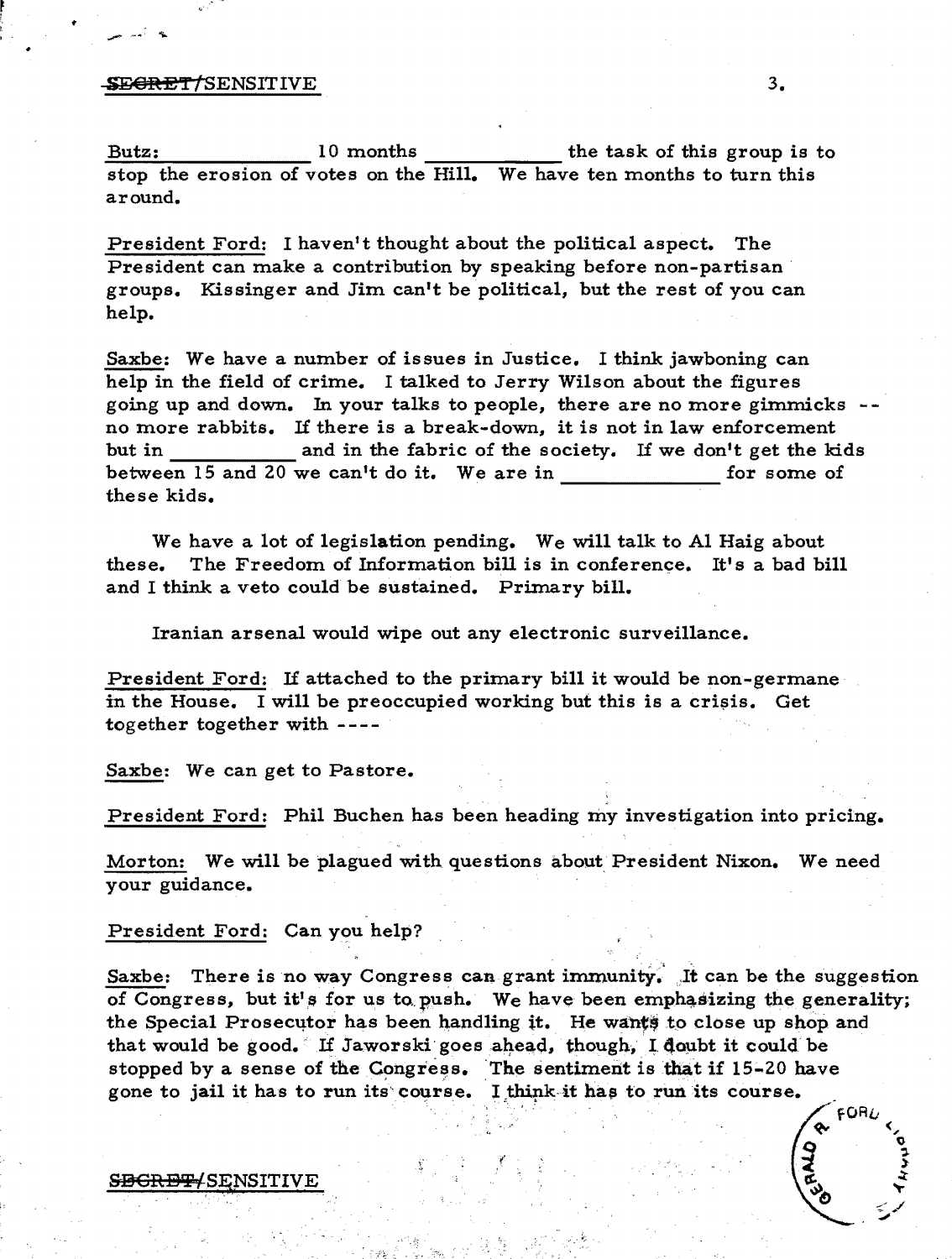Butz: 10 months the task of this group is to stop the erosion of votes on the Hill. We have ten months to turn this around.

President Ford: I haven't thought about the political aspect. The President can make a contribution by speaking before non-partisan groups. Kissinger and Jim can't be political, but the rest of you can help.

Saxbe: We have a number of issues in Justice. I think jawboning can help in the field of crime. I talked to Jerry Wilson about the figures going up and down. In your talks to people, there are no more gimmicks no more rabbits. If there is a break-down, it is not in law enforcement but in and in the fabric of the society. If we don't get the kids between 15 and 20 we can't do it. We are in for some of these kids.

We have a lot of legislation pending. We will talk to Al Haig about these. The Freedom of Information bill is in conference. It's a bad bill and I think a veto could be sustained. Primary bill.

Iranian arsenal would wipe out any electronic surveillance.

President Ford: If attached to the primary bill it would be non-germane in the House. I will be preoccupied working but this is a crisis. Get together together with ----

Saxbe: We can get to Pastore.

President Ford: Phil Buchen has been heading my investigation into pricing.

Morton: We will be plagued with questions about President Nixon. We need your guidance.

President Ford: Can you help?

Saxbe: There is no way Congress can grant immunity. It can be the suggestion of Congress, but it's for us to push. We have been emphasizing the generality; the Special Prosecutor has been handling it. He wants to close up shop and that would be good. If Jaworski goes ahead, though, I doubt it could be stopped by a sense of the Congress. The sentiment is that if 15-20 have gone to jail it has to run its course. I think it has to run its course.

 $\cdot$  .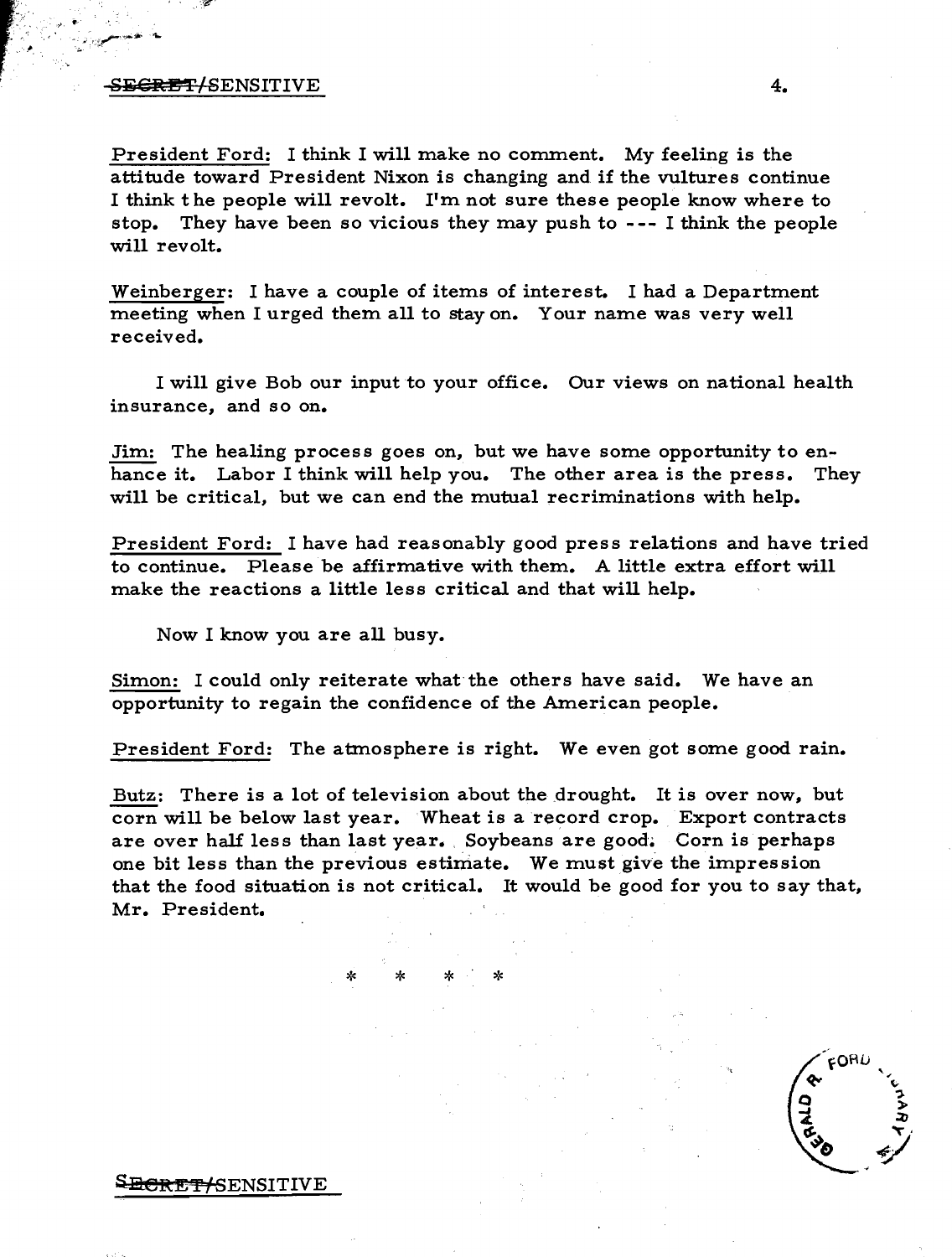## S<del>ECRET/</del>SENSITIVE 4.

"

President Ford: I think I will make no comment. My feeling is the attitude toward President Nixon is changing and if the vultures continue I think t he people will revolt. I'm not sure these people know where to stop. They have been so vicious they may push to - -- I think the people will revolt.

Weinberger: I have a couple of items of interest. I had a Department meeting when I urged them all to stay on. Your name was very well received.

I will give Bob our input to your office. Our views on national health insurance, and so on.

Jim: The healing process goes on, but we have some opportunity to enhance it. Labor I think will help you. The other area is the press. They will be critical, but we can end the mutual recriminations with help.

President Ford: I have had reasonably good press relations and have tried to continue. Please be affirmative with them. A little extra effort will make the reactions a little less critical and that will help.

Now I know you are all busy.

Simon: I could only reiterate what the others have said. We have an opportunity to regain the confidence of the American people.

President Ford: The atmosphere is right. We even got some good rain.

Butz: There is a lot of television about the drought. It is over now, but corn will be below last year. Wheat is a record crop. Export contracts are over half less than last year. Soybeans are good. Corn is perhaps one bit less than the previous estimate. We must give the impression that the food situation is not critical. It would be good for you to say that, Mr. President.

\* \* \* \*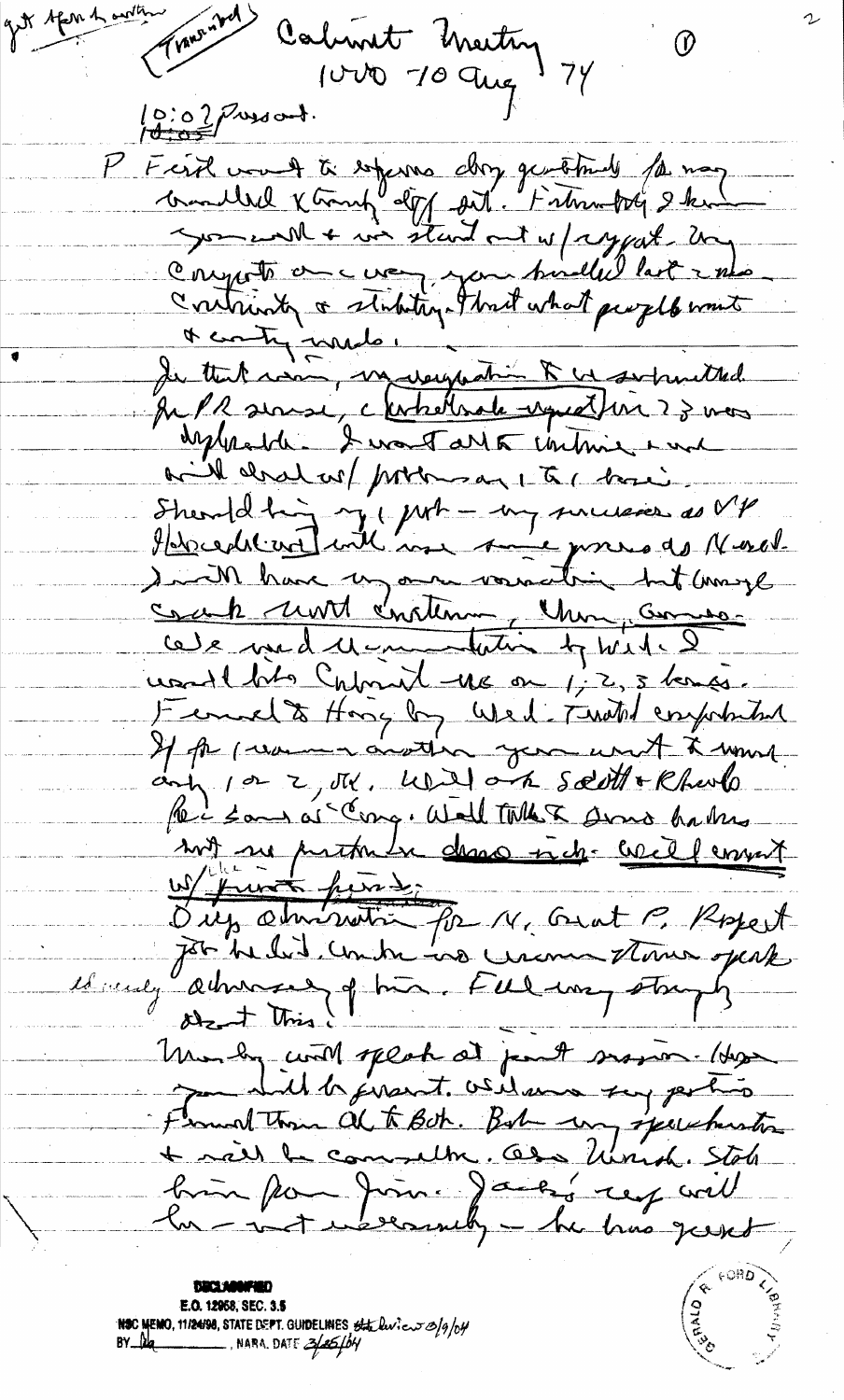je 15 m Gravent Cabinet Meeting 74  $10:02$  prosont. P First word to experience day gentimely for many Congrets de vous you suille last mes A contry incident Je that was my deeped in the swhmthed Ju PR server, c catalles de repeat un 23 mars Inflands I want all to continue more will chalcut portresant to ( base). Shenddhing ry ( put - my merces as  $V'P$ Hebechtart with me sure present Norde Smith have un omne vousitrie but mongle ce le verd Menumentation de Wirde le usade bito Cabriel -ne on 1; 2, 3 bonas. Femmed to Hoog by Wed Twitch empotation If the process and the year with to women any 1 or 2, the used on south + Rhevels Pec sans at Cong. Well Tille & Dono hadres suit me partie des riche crédit envoit Ouz otrisvitir for N, Grat P, Roset unly admiracy of his. Full way stray by orent this Uning with speak at part signer. How pour abill la finant. Wil sens son perhino Francel Than OL to Both. Boh my speckhaster + rais le comment des monds. Stob

**NSC MEMO, 11/24/98, STATE DEPT. GUIDELINES State lives = 2/9/04/**<br>BY \_**liq**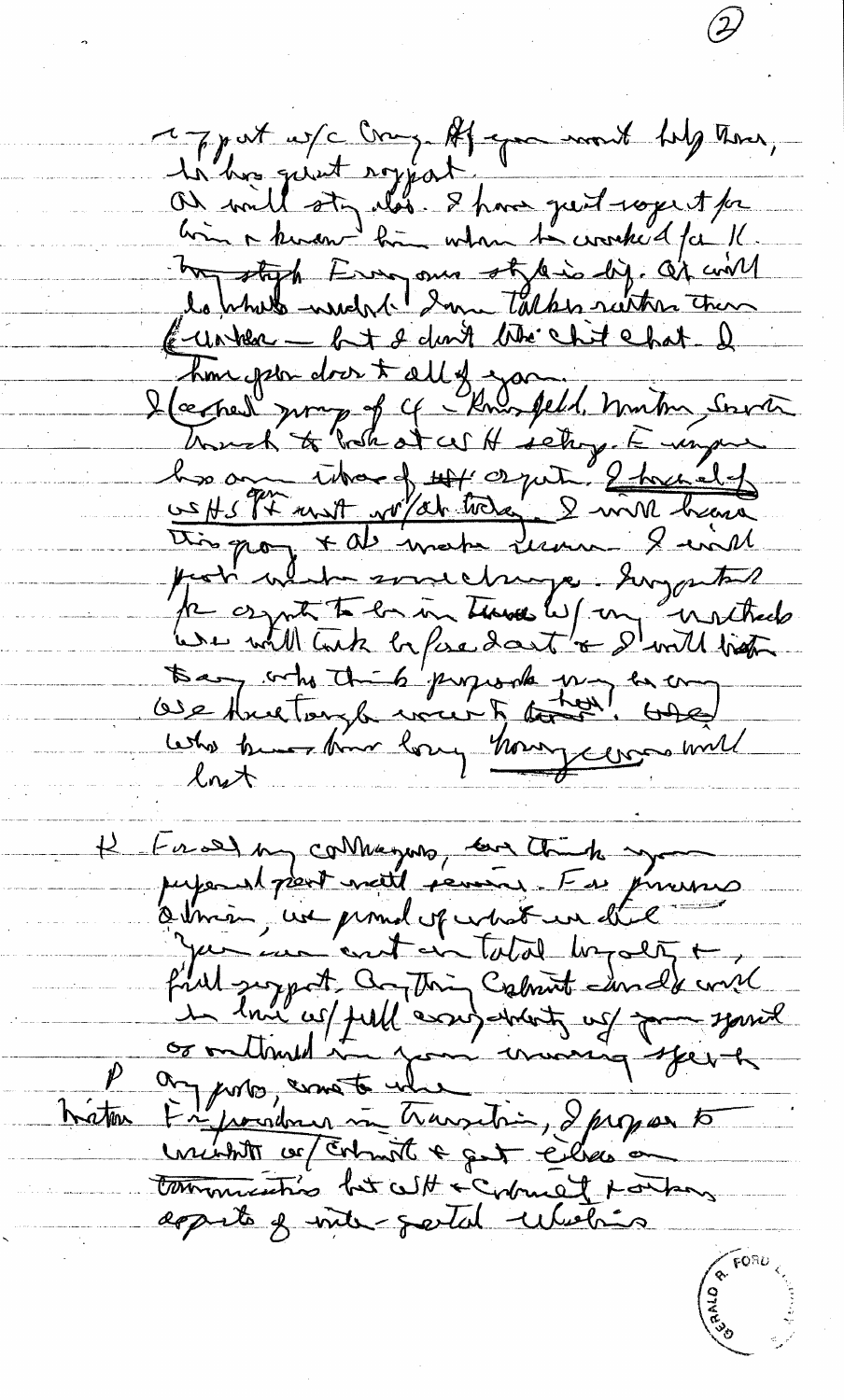17 port w/c Cray Af you won't try them, la hus qu'est roypat. "<br>Où mill sty ilet. 2 par quit royer t /a In styck Ern our style is by as will Eunher - ht & don't like chit chat & home gan door to all of you has any those of the agent " I have it of WHIPE with what the wine I will have Hart what To be in There was every mother lost. K Know my contempora and think you supered port entit servire. En processe find support anything Calmit durable with P any portes, avec to education, I propose to tommissions but with & colonied portan apports of write-garted ulustris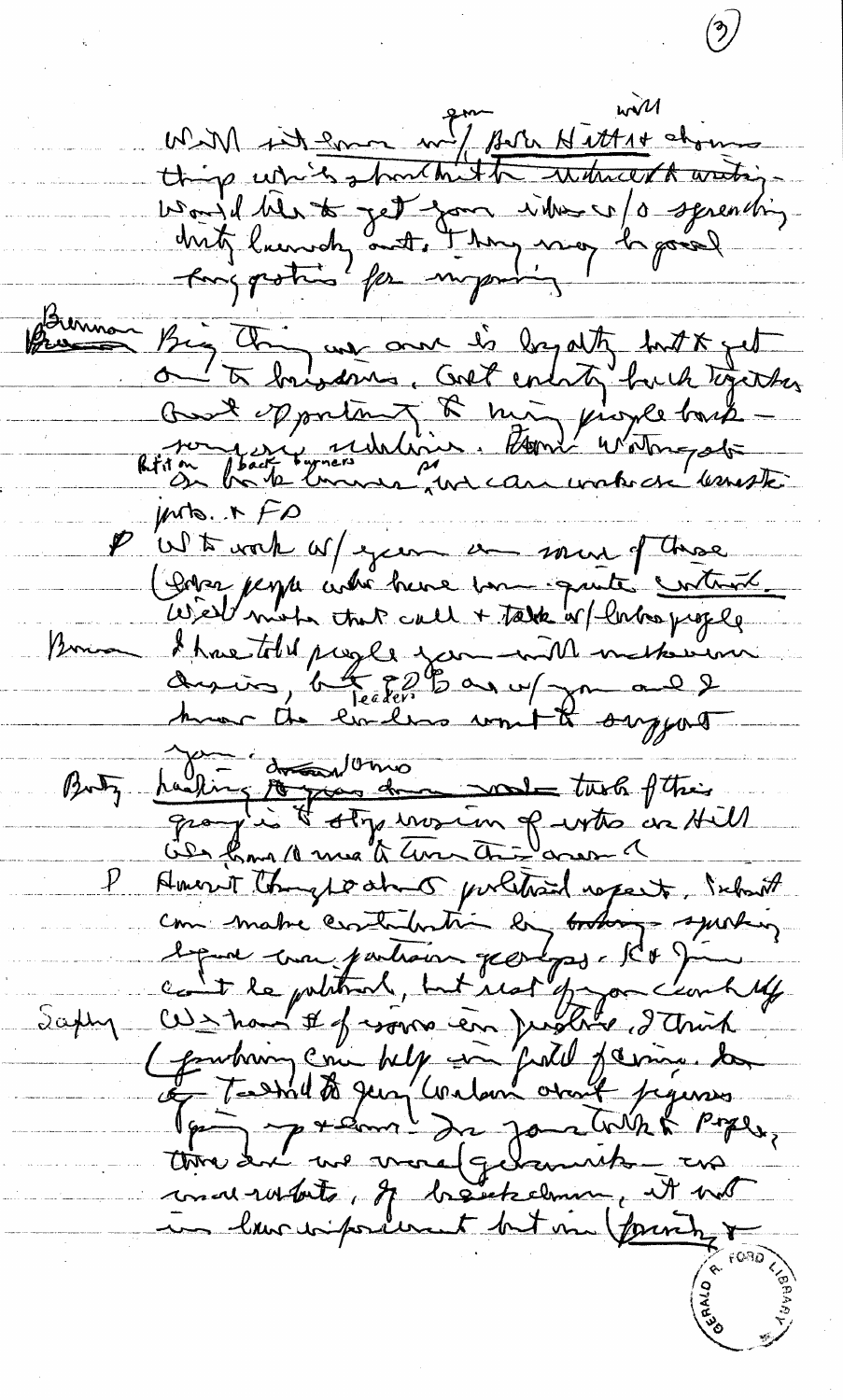with it ever with Both Hitts chomes<br>thip whis shorthithe statute observed mon Big this we over is loyalty but & get MA. A FD P Wt work of your a more of those Correspondent autre heure son quite centeral Bonne d'houetoil progle jour mill methodisme<br>danvis, le fecter de vous programe de Boty hashing to grand down wast took fthis Amerit thought about published reports, Infort com make exactemention la today sporting lique une partison porton (10) Contrain de france en Justice d'Anit  $2a\mu\eta$ in have informant but in fourth, &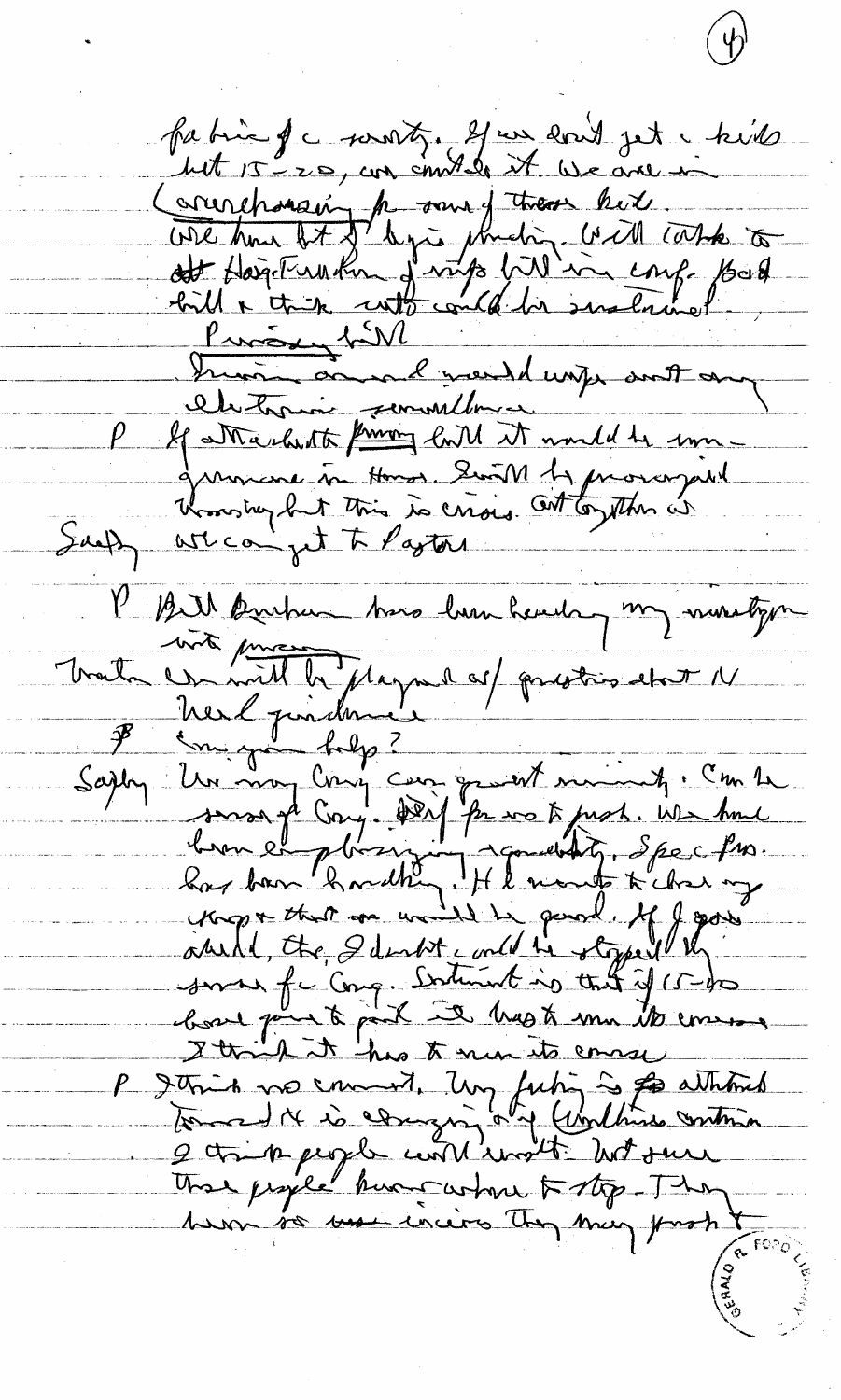fabric de soutre sur eait jet hils but 15 = 20, an converg and here of the to the househouse of the median will control to Procès fille nous d'une sont au If attached to finning louted it would be some graviene in Honor Swith 4 processived<br>Support this is crisis attogration of P But backen tons law heading my noustyon bout pour to part it hapts my the comes I think it has to non its course Itrick no comment, un futig is for attricked The people hun custome to stop-They hero is use excers they may frush?